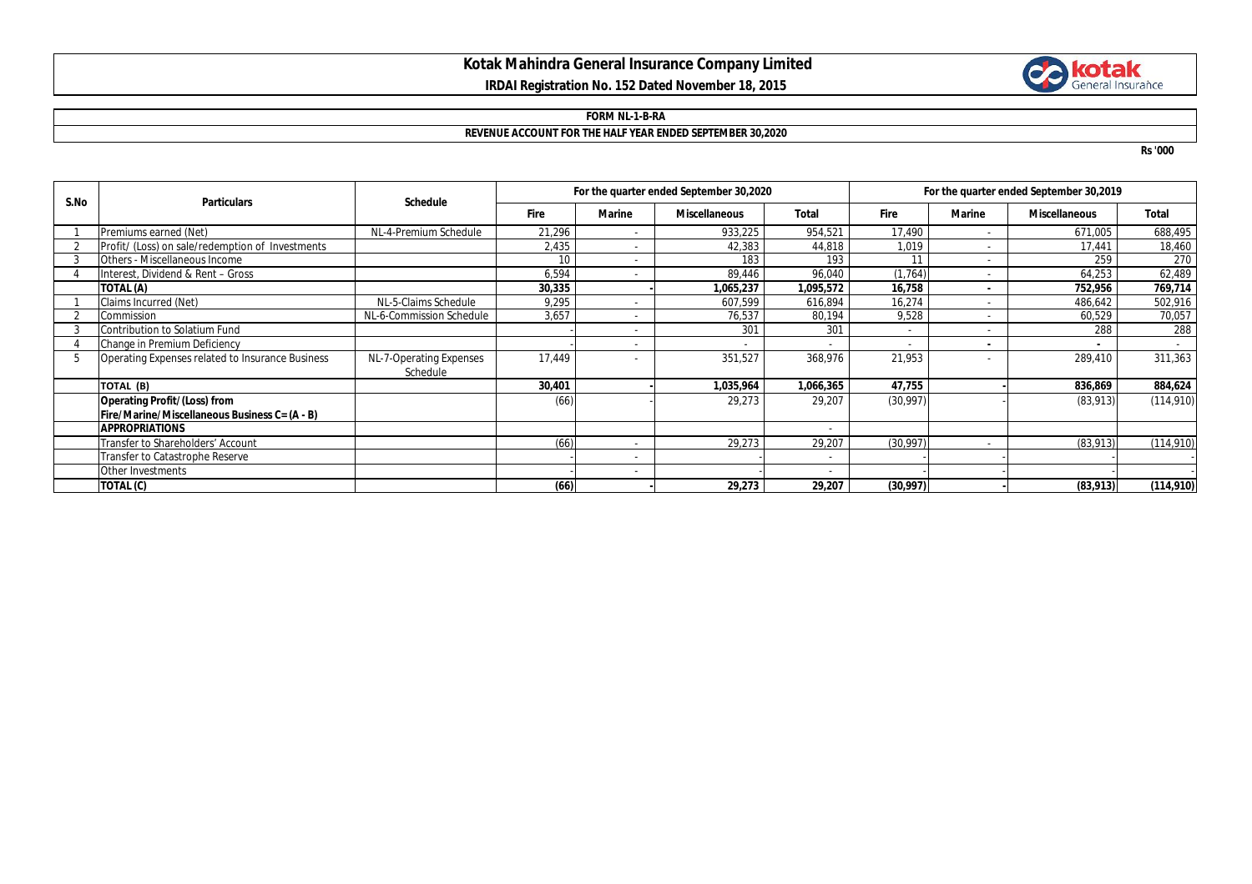# **Kotak Mahindra General Insurance Company Limited IRDAI Registration No. 152 Dated November 18, 2015**



### **FORM NL-1-B-RA**

### **REVENUE ACCOUNT FOR THE HALF YEAR ENDED SEPTEMBER 30,2020**

**Rs '000**

| S.No | <b>Particulars</b>                               | <b>Schedule</b>          | For the quarter ended September 30,2020 |        |                      |              | For the quarter ended September 30,2019 |               |                      |              |
|------|--------------------------------------------------|--------------------------|-----------------------------------------|--------|----------------------|--------------|-----------------------------------------|---------------|----------------------|--------------|
|      |                                                  |                          | <b>Fire</b>                             | Marine | <b>Miscellaneous</b> | <b>Total</b> | <b>Fire</b>                             | <b>Marine</b> | <b>Miscellaneous</b> | <b>Total</b> |
|      | Premiums earned (Net)                            | NL-4-Premium Schedule    | 21,296                                  |        | 933,225              | 954,521      | 17,490                                  |               | 671,005              | 688,495      |
|      | Profit/ (Loss) on sale/redemption of Investments |                          | 2,435                                   |        | 42,383               | 44,818       | 1,019                                   |               | 17,441               | 18,460       |
|      | Others - Miscellaneous Income                    |                          | 10 <sup>1</sup>                         |        | 183                  | 193          | 11                                      |               | 259                  | 270          |
|      | Interest, Dividend & Rent - Gross                |                          | 6,594                                   |        | 89,446               | 96,040       | (1,764)                                 |               | 64,253               | 62,489       |
|      | TOTAL (A)                                        |                          | 30,335                                  |        | ,065,237             | 1,095,572    | 16,758                                  |               | 752,956              | 769,714      |
|      | Claims Incurred (Net)                            | NL-5-Claims Schedule     | 9,295                                   |        | 607.599              | 616,894      | 16,274                                  |               | 486,642              | 502,916      |
|      | Commission                                       | NL-6-Commission Schedule | 3,657                                   |        | 76,537               | 80,194       | 9,528                                   |               | 60,529               | 70,057       |
|      | Contribution to Solatium Fund                    |                          |                                         | ٠      | 301                  | 301          | $\sim$                                  |               | 288                  | 288          |
|      | Change in Premium Deficiency                     |                          |                                         |        |                      |              |                                         |               |                      |              |
| 5    | Operating Expenses related to Insurance Business | NL-7-Operating Expenses  | 17,449                                  |        | 351,527              | 368,976      | 21,953                                  |               | 289,410              | 311,363      |
|      |                                                  | Schedule                 |                                         |        |                      |              |                                         |               |                      |              |
|      | TOTAL (B)                                        |                          | 30,401                                  |        | 1,035,964            | 1,066,365    | 47,755                                  |               | 836,869              | 884,624      |
|      | Operating Profit/(Loss) from                     |                          | (66)                                    |        | 29,273               | 29,207       | (30, 997)                               |               | (83,913)             | (114, 910)   |
|      | Fire/Marine/Miscellaneous Business C= (A - B)    |                          |                                         |        |                      |              |                                         |               |                      |              |
|      | <b>APPROPRIATIONS</b>                            |                          |                                         |        |                      |              |                                         |               |                      |              |
|      | Transfer to Shareholders' Account                |                          | (66)                                    |        | 29,273               | 29,207       | (30, 997)                               |               | (83,913)             | (114, 910)   |
|      | Transfer to Catastrophe Reserve                  |                          |                                         |        |                      |              |                                         |               |                      |              |
|      | Other Investments                                |                          |                                         | ۰.     |                      |              |                                         |               |                      |              |
|      | TOTAL (C)                                        |                          | (66)                                    |        | 29,273               | 29,207       | (30,997)                                |               | (83,913)             | (114, 910)   |